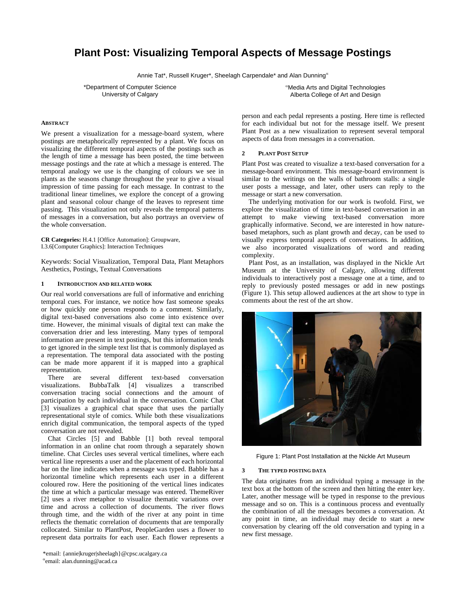# **Plant Post: Visualizing Temporal Aspects of Message Postings**

Annie Tat\*, Russell Kruger\*, Sheelagh Carpendale\* and Alan Dunning<sup>«</sup>

\*Department of Computer Science University of Calgary

α Media Arts and Digital Technologies Alberta College of Art and Design

### **ABSTRACT**

We present a visualization for a message-board system, where postings are metaphorically represented by a plant. We focus on visualizing the different temporal aspects of the postings such as the length of time a message has been posted, the time between message postings and the rate at which a message is entered. The temporal analogy we use is the changing of colours we see in plants as the seasons change throughout the year to give a visual impression of time passing for each message. In contrast to the traditional linear timelines, we explore the concept of a growing plant and seasonal colour change of the leaves to represent time passing. This visualization not only reveals the temporal patterns of messages in a conversation, but also portrays an overview of the whole conversation.

**CR Categories:** H.4.1 [Office Automation]: Groupware, I.3.6[Computer Graphics]: Interaction Techniques

Keywords: Social Visualization, Temporal Data, Plant Metaphors Aesthetics, Postings, Textual Conversations

# **1 INTRODUCTION AND RELATED WORK**

Our real world conversations are full of informative and enriching temporal cues. For instance, we notice how fast someone speaks or how quickly one person responds to a comment. Similarly, digital text-based conversations also come into existence over time. However, the minimal visuals of digital text can make the conversation drier and less interesting. Many types of temporal information are present in text postings, but this information tends to get ignored in the simple text list that is commonly displayed as a representation. The temporal data associated with the posting can be made more apparent if it is mapped into a graphical representation.

There are several different text-based conversation visualizations. BubbaTalk [4] visualizes a transcribed conversation tracing social connections and the amount of participation by each individual in the conversation. Comic Chat [3] visualizes a graphical chat space that uses the partially representational style of comics. While both these visualizations enrich digital communication, the temporal aspects of the typed conversation are not revealed.

Chat Circles [5] and Babble [1] both reveal temporal information in an online chat room through a separately shown timeline. Chat Circles uses several vertical timelines, where each vertical line represents a user and the placement of each horizontal bar on the line indicates when a message was typed. Babble has a horizontal timeline which represents each user in a different coloured row. Here the positioning of the vertical lines indicates the time at which a particular message was entered. ThemeRiver [2] uses a river metaphor to visualize thematic variations over time and across a collection of documents. The river flows through time, and the width of the river at any point in time reflects the thematic correlation of documents that are temporally collocated. Similar to PlantPost, PeopleGarden uses a flower to represent data portraits for each user. Each flower represents a

person and each pedal represents a posting. Here time is reflected for each individual but not for the message itself. We present Plant Post as a new visualization to represent several temporal aspects of data from messages in a conversation.

### **2 PLANT POST SETUP**

Plant Post was created to visualize a text-based conversation for a message-board environment. This message-board environment is similar to the writings on the walls of bathroom stalls: a single user posts a message, and later, other users can reply to the message or start a new conversation.

The underlying motivation for our work is twofold. First, we explore the visualization of time in text-based conversation in an attempt to make viewing text-based conversation more graphically informative. Second, we are interested in how naturebased metaphors, such as plant growth and decay, can be used to visually express temporal aspects of conversations. In addition, we also incorporated visualizations of word and reading complexity.

Plant Post, as an installation, was displayed in the Nickle Art Museum at the University of Calgary, allowing different individuals to interactively post a message one at a time, and to reply to previously posted messages or add in new postings (Figure 1). This setup allowed audiences at the art show to type in comments about the rest of the art show.



Figure 1: Plant Post Installation at the Nickle Art Museum

#### **3 THE TYPED POSTING DATA**

The data originates from an individual typing a message in the text box at the bottom of the screen and then hitting the enter key. Later, another message will be typed in response to the previous message and so on. This is a continuous process and eventually the combination of all the messages becomes a conversation. At any point in time, an individual may decide to start a new conversation by clearing off the old conversation and typing in a new first message.

<sup>\*</sup>email: {annie|kruger|sheelagh}@cpsc.ucalgary.ca α email: alan.dunning@acad.ca